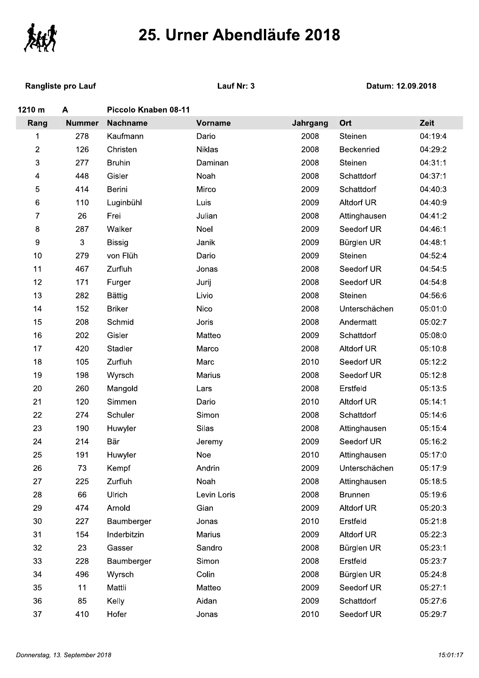

**Rangliste pro Lauf** 

Lauf Nr: 3

| 1210 m | A             | Piccolo Knaben 08-11 |                |          |                   |         |
|--------|---------------|----------------------|----------------|----------|-------------------|---------|
| Rang   | <b>Nummer</b> | <b>Nachname</b>      | <b>Vorname</b> | Jahrgang | Ort               | Zeit    |
| 1      | 278           | Kaufmann             | Dario          | 2008     | Steinen           | 04:19:4 |
| 2      | 126           | Christen             | <b>Niklas</b>  | 2008     | Beckenried        | 04:29:2 |
| 3      | 277           | <b>Bruhin</b>        | Daminan        | 2008     | Steinen           | 04:31:1 |
| 4      | 448           | Gisler               | Noah           | 2008     | Schattdorf        | 04:37:1 |
| 5      | 414           | Berini               | Mirco          | 2009     | Schattdorf        | 04:40:3 |
| 6      | 110           | Luginbühl            | Luis           | 2009     | Altdorf UR        | 04:40:9 |
| 7      | 26            | Frei                 | Julian         | 2008     | Attinghausen      | 04:41:2 |
| 8      | 287           | Walker               | Noel           | 2009     | Seedorf UR        | 04:46:1 |
| 9      | 3             | <b>Bissig</b>        | Janik          | 2009     | Bürglen UR        | 04:48:1 |
| 10     | 279           | von Flüh             | Dario          | 2009     | Steinen           | 04:52:4 |
| 11     | 467           | Zurfluh              | Jonas          | 2008     | Seedorf UR        | 04:54:5 |
| 12     | 171           | Furger               | Jurij          | 2008     | Seedorf UR        | 04:54:8 |
| 13     | 282           | <b>Bättig</b>        | Livio          | 2008     | Steinen           | 04:56:6 |
| 14     | 152           | <b>Briker</b>        | <b>Nico</b>    | 2008     | Unterschächen     | 05:01:0 |
| 15     | 208           | Schmid               | Joris          | 2008     | Andermatt         | 05:02:7 |
| 16     | 202           | Gisler               | Matteo         | 2009     | Schattdorf        | 05:08:0 |
| 17     | 420           | Stadler              | Marco          | 2008     | Altdorf UR        | 05:10:8 |
| 18     | 105           | Zurfluh              | Marc           | 2010     | Seedorf UR        | 05:12:2 |
| 19     | 198           | Wyrsch               | Marius         | 2008     | Seedorf UR        | 05:12:8 |
| 20     | 260           | Mangold              | Lars           | 2008     | Erstfeld          | 05:13:5 |
| 21     | 120           | Simmen               | Dario          | 2010     | Altdorf UR        | 05:14:1 |
| 22     | 274           | Schuler              | Simon          | 2008     | Schattdorf        | 05:14:6 |
| 23     | 190           | Huwyler              | Silas          | 2008     | Attinghausen      | 05:15:4 |
| 24     | 214           | Bär                  | Jeremy         | 2009     | Seedorf UR        | 05:16:2 |
| 25     | 191           | Huwyler              | Noe            | 2010     | Attinghausen      | 05:17:0 |
| 26     | 73            | Kempf                | Andrin         | 2009     | Unterschächen     | 05:17:9 |
| 27     | 225           | Zurfluh              | Noah           | 2008     | Attinghausen      | 05:18:5 |
| 28     | 66            | Ulrich               | Levin Loris    | 2008     | <b>Brunnen</b>    | 05:19:6 |
| 29     | 474           | Arnold               | Gian           | 2009     | <b>Altdorf UR</b> | 05:20:3 |
| 30     | 227           | Baumberger           | Jonas          | 2010     | Erstfeld          | 05:21:8 |
| 31     | 154           | Inderbitzin          | Marius         | 2009     | <b>Altdorf UR</b> | 05:22:3 |
| 32     | 23            | Gasser               | Sandro         | 2008     | Bürglen UR        | 05:23:1 |
| 33     | 228           | Baumberger           | Simon          | 2008     | Erstfeld          | 05:23:7 |
| 34     | 496           | Wyrsch               | Colin          | 2008     | Bürglen UR        | 05:24:8 |
| 35     | 11            | Mattli               | Matteo         | 2009     | Seedorf UR        | 05:27:1 |
| 36     | 85            | Kelly                | Aidan          | 2009     | Schattdorf        | 05:27:6 |
| 37     | 410           | Hofer                | Jonas          | 2010     | Seedorf UR        | 05.29.7 |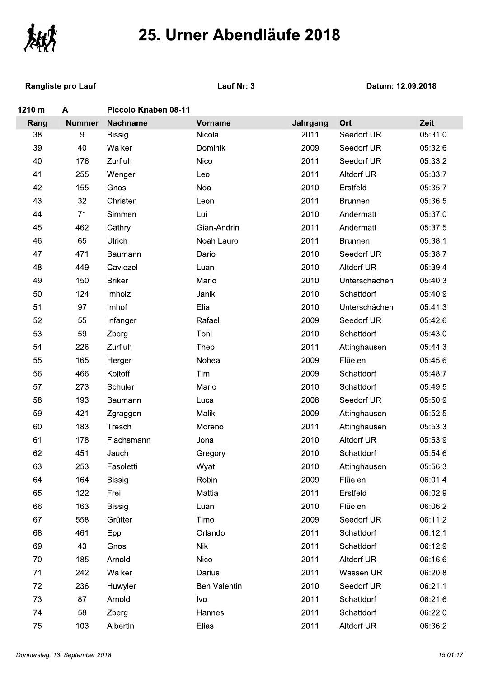

**Rangliste pro Lauf** 

Lauf Nr: 3

| 1210 m | A             | Piccolo Knaben 08-11 |              |          |                   |         |
|--------|---------------|----------------------|--------------|----------|-------------------|---------|
| Rang   | <b>Nummer</b> | <b>Nachname</b>      | Vorname      | Jahrgang | Ort               | Zeit    |
| 38     | 9             | <b>Bissig</b>        | Nicola       | 2011     | Seedorf UR        | 05:31:0 |
| 39     | 40            | Walker               | Dominik      | 2009     | Seedorf UR        | 05:32:6 |
| 40     | 176           | Zurfluh              | Nico         | 2011     | Seedorf UR        | 05:33:2 |
| 41     | 255           | Wenger               | Leo          | 2011     | <b>Altdorf UR</b> | 05:33:7 |
| 42     | 155           | Gnos                 | Noa          | 2010     | Erstfeld          | 05:35:7 |
| 43     | 32            | Christen             | Leon         | 2011     | <b>Brunnen</b>    | 05:36:5 |
| 44     | 71            | Simmen               | Lui          | 2010     | Andermatt         | 05:37:0 |
| 45     | 462           | Cathry               | Gian-Andrin  | 2011     | Andermatt         | 05:37:5 |
| 46     | 65            | Ulrich               | Noah Lauro   | 2011     | <b>Brunnen</b>    | 05:38:1 |
| 47     | 471           | Baumann              | Dario        | 2010     | Seedorf UR        | 05:38:7 |
| 48     | 449           | Caviezel             | Luan         | 2010     | <b>Altdorf UR</b> | 05:39:4 |
| 49     | 150           | <b>Briker</b>        | Mario        | 2010     | Unterschächen     | 05:40:3 |
| 50     | 124           | Imholz               | Janik        | 2010     | Schattdorf        | 05:40:9 |
| 51     | 97            | Imhof                | Elia         | 2010     | Unterschächen     | 05:41:3 |
| 52     | 55            | Infanger             | Rafael       | 2009     | Seedorf UR        | 05:42:6 |
| 53     | 59            | Zberg                | Toni         | 2010     | Schattdorf        | 05:43:0 |
| 54     | 226           | Zurfluh              | Theo         | 2011     | Attinghausen      | 05:44:3 |
| 55     | 165           | Herger               | Nohea        | 2009     | Flüelen           | 05:45:6 |
| 56     | 466           | Koltoff              | Tim          | 2009     | Schattdorf        | 05:48:7 |
| 57     | 273           | Schuler              | Mario        | 2010     | Schattdorf        | 05:49:5 |
| 58     | 193           | Baumann              | Luca         | 2008     | Seedorf UR        | 05:50:9 |
| 59     | 421           | Zgraggen             | Malik        | 2009     | Attinghausen      | 05:52:5 |
| 60     | 183           | Tresch               | Moreno       | 2011     | Attinghausen      | 05:53:3 |
| 61     | 178           | Flachsmann           | Jona         | 2010     | Altdorf UR        | 05:53:9 |
| 62     | 451           | Jauch                | Gregory      | 2010     | Schattdorf        | 05:54:6 |
| 63     | 253           | Fasoletti            | Wyat         | 2010     | Attinghausen      | 05:56:3 |
| 64     | 164           | <b>Bissig</b>        | Robin        | 2009     | Flüelen           | 06:01:4 |
| 65     | 122           | Frei                 | Mattia       | 2011     | Erstfeld          | 06:02:9 |
| 66     | 163           | <b>Bissig</b>        | Luan         | 2010     | Flüelen           | 06:06:2 |
| 67     | 558           | Grütter              | Timo         | 2009     | Seedorf UR        | 06:11:2 |
| 68     | 461           | Epp                  | Orlando      | 2011     | Schattdorf        | 06:12:1 |
| 69     | 43            | Gnos                 | <b>Nik</b>   | 2011     | Schattdorf        | 06:12:9 |
| 70     | 185           | Arnold               | Nico         | 2011     | <b>Altdorf UR</b> | 06:16:6 |
| 71     | 242           | Walker               | Darius       | 2011     | Wassen UR         | 06:20:8 |
| 72     | 236           | Huwyler              | Ben Valentin | 2010     | Seedorf UR        | 06:21:1 |
| 73     | 87            | Arnold               | Ivo          | 2011     | Schattdorf        | 06:21:6 |
| 74     | 58            | Zberg                | Hannes       | 2011     | Schattdorf        | 06:22:0 |
| 75     | 103           | Albertin             | Elias        | 2011     | <b>Altdorf UR</b> | 06:36:2 |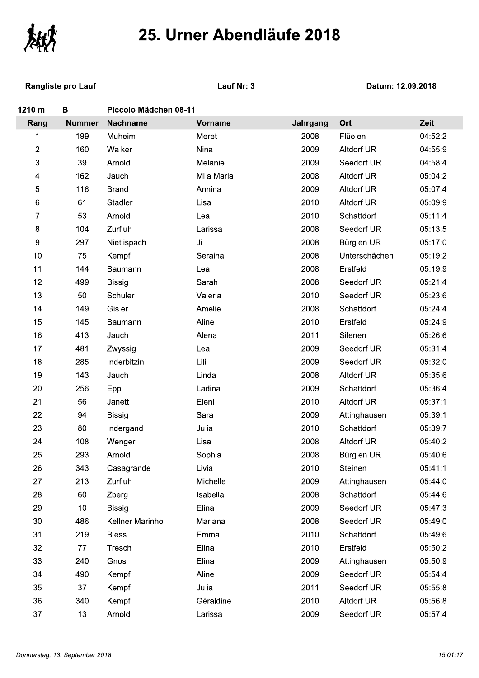

**Rangliste pro Lauf** 

Lauf Nr: 3

| 1210 m                  | B               | Piccolo Mädchen 08-11 |                |          |                   |         |
|-------------------------|-----------------|-----------------------|----------------|----------|-------------------|---------|
| Rang                    | <b>Nummer</b>   | <b>Nachname</b>       | <b>Vorname</b> | Jahrgang | Ort               | Zeit    |
| 1                       | 199             | Muheim                | Meret          | 2008     | Flüelen           | 04:52:2 |
| $\mathbf{2}$            | 160             | Walker                | Nina           | 2009     | Altdorf UR        | 04:55:9 |
| 3                       | 39              | Arnold                | Melanie        | 2009     | Seedorf UR        | 04:58:4 |
| $\overline{\mathbf{4}}$ | 162             | Jauch                 | Mila Maria     | 2008     | <b>Altdorf UR</b> | 05:04:2 |
| $\mathbf 5$             | 116             | <b>Brand</b>          | Annina         | 2009     | <b>Altdorf UR</b> | 05:07:4 |
| $\,6\,$                 | 61              | Stadler               | Lisa           | 2010     | Altdorf UR        | 05:09:9 |
| 7                       | 53              | Arnold                | Lea            | 2010     | Schattdorf        | 05:11:4 |
| $\bf 8$                 | 104             | Zurfluh               | Larissa        | 2008     | Seedorf UR        | 05:13:5 |
| $\boldsymbol{9}$        | 297             | Nietlispach           | Jill           | 2008     | Bürglen UR        | 05:17:0 |
| 10                      | 75              | Kempf                 | Seraina        | 2008     | Unterschächen     | 05:19:2 |
| 11                      | 144             | Baumann               | Lea            | 2008     | Erstfeld          | 05:19:9 |
| 12                      | 499             | <b>Bissig</b>         | Sarah          | 2008     | Seedorf UR        | 05:21:4 |
| 13                      | 50              | Schuler               | Valeria        | 2010     | Seedorf UR        | 05:23:6 |
| 14                      | 149             | Gisler                | Amelie         | 2008     | Schattdorf        | 05:24:4 |
| 15                      | 145             | Baumann               | Aline          | 2010     | Erstfeld          | 05:24:9 |
| 16                      | 413             | Jauch                 | Alena          | 2011     | Silenen           | 05:26:6 |
| 17                      | 481             | Zwyssig               | Lea            | 2009     | Seedorf UR        | 05:31:4 |
| 18                      | 285             | Inderbitzin           | Lili           | 2009     | Seedorf UR        | 05:32:0 |
| 19                      | 143             | Jauch                 | Linda          | 2008     | <b>Altdorf UR</b> | 05:35:6 |
| 20                      | 256             | Epp                   | Ladina         | 2009     | Schattdorf        | 05:36:4 |
| 21                      | 56              | Janett                | Eleni          | 2010     | <b>Altdorf UR</b> | 05:37:1 |
| 22                      | 94              | <b>Bissig</b>         | Sara           | 2009     | Attinghausen      | 05:39:1 |
| 23                      | 80              | Indergand             | Julia          | 2010     | Schattdorf        | 05:39:7 |
| 24                      | 108             | Wenger                | Lisa           | 2008     | <b>Altdorf UR</b> | 05:40:2 |
| 25                      | 293             | Arnold                | Sophia         | 2008     | Bürglen UR        | 05:40:6 |
| 26                      | 343             | Casagrande            | Livia          | 2010     | Steinen           | 05:41:1 |
| 27                      | 213             | Zurfluh               | Michelle       | 2009     | Attinghausen      | 05:44:0 |
| 28                      | 60              | Zberg                 | Isabella       | 2008     | Schattdorf        | 05:44:6 |
| 29                      | 10              | <b>Bissig</b>         | Elina          | 2009     | Seedorf UR        | 05:47:3 |
| 30                      | 486             | Kellner Marinho       | Mariana        | 2008     | Seedorf UR        | 05:49:0 |
| 31                      | 219             | <b>Bless</b>          | Emma           | 2010     | Schattdorf        | 05:49:6 |
| 32                      | 77              | Tresch                | Elina          | 2010     | Erstfeld          | 05:50:2 |
| 33                      | 240             | Gnos                  | Elina          | 2009     | Attinghausen      | 05:50:9 |
| 34                      | 490             | Kempf                 | Aline          | 2009     | Seedorf UR        | 05:54:4 |
| 35                      | 37              | Kempf                 | Julia          | 2011     | Seedorf UR        | 05:55:8 |
| 36                      | 340             | Kempf                 | Géraldine      | 2010     | Altdorf UR        | 05:56:8 |
| 37                      | 13 <sup>°</sup> | Arnold                | Larissa        | 2009     | Seedorf UR        | 05:57:4 |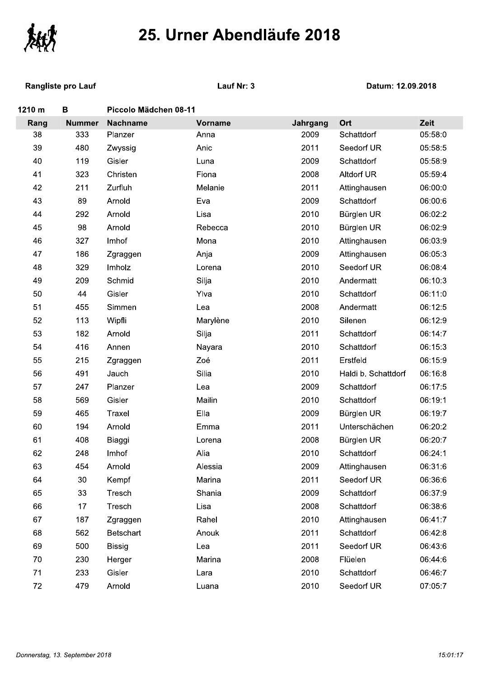

| くゝてんし  |                           |                       |                |          |                     |         |
|--------|---------------------------|-----------------------|----------------|----------|---------------------|---------|
|        | <b>Rangliste pro Lauf</b> | Lauf Nr: 3            |                |          | Datum: 12.09.2018   |         |
| 1210 m | B                         | Piccolo Mädchen 08-11 |                |          |                     |         |
| Rang   | <b>Nummer</b>             | <b>Nachname</b>       | <b>Vorname</b> | Jahrgang | Ort                 | Zeit    |
| 38     | 333                       | Planzer               | Anna           | 2009     | Schattdorf          | 05:58:0 |
| 39     | 480                       | Zwyssig               | Anic           | 2011     | Seedorf UR          | 05:58:5 |
| 40     | 119                       | Gisler                | Luna           | 2009     | Schattdorf          | 05:58:9 |
| 41     | 323                       | Christen              | Fiona          | 2008     | <b>Altdorf UR</b>   | 05:59:4 |
| 42     | 211                       | Zurfluh               | Melanie        | 2011     | Attinghausen        | 06:00:0 |
| 43     | 89                        | Arnold                | Eva            | 2009     | Schattdorf          | 06:00:6 |
| 44     | 292                       | Arnold                | Lisa           | 2010     | Bürglen UR          | 06:02:2 |
| 45     | 98                        | Arnold                | Rebecca        | 2010     | Bürglen UR          | 06:02:9 |
| 46     | 327                       | Imhof                 | Mona           | 2010     | Attinghausen        | 06:03:9 |
| 47     | 186                       | Zgraggen              | Anja           | 2009     | Attinghausen        | 06:05:3 |
| 48     | 329                       | Imholz                | Lorena         | 2010     | Seedorf UR          | 06:08:4 |
| 49     | 209                       | Schmid                | Silja          | 2010     | Andermatt           | 06:10:3 |
| 50     | 44                        | Gisler                | Ylva           | 2010     | Schattdorf          | 06:11:0 |
| 51     | 455                       | Simmen                | Lea            | 2008     | Andermatt           | 06:12:5 |
| 52     | 113                       | Wipfli                | Marylène       | 2010     | Silenen             | 06:12:9 |
| 53     | 182                       | Arnold                | Silja          | 2011     | Schattdorf          | 06:14:7 |
| 54     | 416                       | Annen                 | Nayara         | 2010     | Schattdorf          | 06:15:3 |
| 55     | 215                       | Zgraggen              | Zoé            | 2011     | Erstfeld            | 06:15:9 |
| 56     | 491                       | Jauch                 | Silia          | 2010     | Haldi b. Schattdorf | 06:16:8 |
| 57     | 247                       | Planzer               | Lea            | 2009     | Schattdorf          | 06:17:5 |
| 58     | 569                       | Gisler                | Mailin         | 2010     | Schattdorf          | 06:19:1 |
| 59     | 465                       | Traxel                | Ella           | 2009     | Bürglen UR          | 06:19:7 |
| 60     | 194                       | Arnold                | Emma           | 2011     | Unterschächen       | 06:20:2 |
| 61     | 408                       | Biaggi                | Lorena         | 2008     | Bürglen UR          | 06:20:7 |
| 62     | 248                       | Imhof                 | Alia           | 2010     | Schattdorf          | 06:24:1 |
| 63     | 454                       | Arnold                | Alessia        | 2009     | Attinghausen        | 06:31:6 |
| 64     | 30                        | Kempf                 | Marina         | 2011     | Seedorf UR          | 06:36:6 |
| 65     | 33                        | Tresch                | Shania         | 2009     | Schattdorf          | 06:37:9 |
| 66     | 17                        | Tresch                | Lisa           | 2008     | Schattdorf          | 06:38:6 |
| 67     | 187                       | Zgraggen              | Rahel          | 2010     | Attinghausen        | 06:41:7 |
| 68     | 562                       | Betschart             | Anouk          | 2011     | Schattdorf          | 06:42:8 |
| 69     | 500                       | <b>Bissig</b>         | Lea            | 2011     | Seedorf UR          | 06:43:6 |
| 70     | 230                       | Herger                | Marina         | 2008     | Flüelen             | 06:44:6 |
| 71     | 233                       | Gisler                | Lara           | 2010     | Schattdorf          | 06:46:7 |
| $72\,$ | 479                       | Arnold                | Luana          | 2010     | Seedorf UR          | 07:05:7 |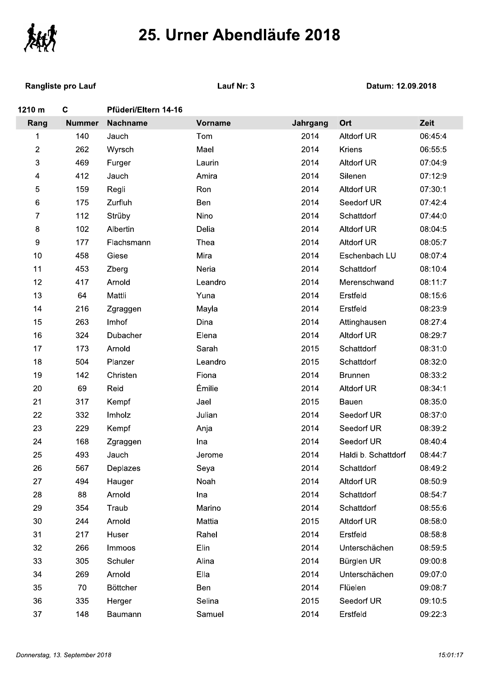

| 25. Urner Abendiaufe 2018 |                           |                      |                |          |                     |         |  |
|---------------------------|---------------------------|----------------------|----------------|----------|---------------------|---------|--|
|                           | <b>Rangliste pro Lauf</b> | Lauf Nr: 3           |                |          | Datum: 12.09.2018   |         |  |
| 1210 m                    | $\mathbf c$               | Pfüderi/Eltern 14-16 |                |          |                     |         |  |
| Rang                      | <b>Nummer</b>             | <b>Nachname</b>      | <b>Vorname</b> | Jahrgang | Ort                 | Zeit    |  |
| 1                         | 140                       | Jauch                | Tom            | 2014     | <b>Altdorf UR</b>   | 06:45:4 |  |
| 2                         | 262                       | Wyrsch               | Mael           | 2014     | Kriens              | 06:55:5 |  |
| 3                         | 469                       | Furger               | Laurin         | 2014     | Altdorf UR          | 07:04:9 |  |
| 4                         | 412                       | Jauch                | Amira          | 2014     | Silenen             | 07:12:9 |  |
| 5                         | 159                       | Regli                | Ron            | 2014     | <b>Altdorf UR</b>   | 07:30:1 |  |
| 6                         | 175                       | Zurfluh              | Ben            | 2014     | Seedorf UR          | 07:42:4 |  |
| 7                         | 112                       | Strüby               | Nino           | 2014     | Schattdorf          | 07:44:0 |  |
| 8                         | 102                       | Albertin             | Delia          | 2014     | Altdorf UR          | 08:04:5 |  |
| 9                         | 177                       | Flachsmann           | Thea           | 2014     | Altdorf UR          | 08:05:7 |  |
| 10                        | 458                       | Giese                | Mira           | 2014     | Eschenbach LU       | 08:07:4 |  |
| 11                        | 453                       | Zberg                | Neria          | 2014     | Schattdorf          | 08:10:4 |  |
| 12                        | 417                       | Arnold               | Leandro        | 2014     | Merenschwand        | 08:11:7 |  |
| 13                        | 64                        | Mattli               | Yuna           | 2014     | Erstfeld            | 08:15:6 |  |
| 14                        | 216                       | Zgraggen             | Mayla          | 2014     | Erstfeld            | 08:23:9 |  |
| 15                        | 263                       | Imhof                | Dina           | 2014     | Attinghausen        | 08:27:4 |  |
| 16                        | 324                       | Dubacher             | Elena          | 2014     | <b>Altdorf UR</b>   | 08:29:7 |  |
| 17                        | 173                       | Arnold               | Sarah          | 2015     | Schattdorf          | 08:31:0 |  |
| 18                        | 504                       | Planzer              | Leandro        | 2015     | Schattdorf          | 08:32:0 |  |
| 19                        | 142                       | Christen             | Fiona          | 2014     | <b>Brunnen</b>      | 08:33:2 |  |
| 20                        | 69                        | Reid                 | Émilie         | 2014     | <b>Altdorf UR</b>   | 08:34:1 |  |
| 21                        | 317                       | Kempf                | Jael           | 2015     | Bauen               | 08:35:0 |  |
| 22                        | 332                       | Imholz               | Julian         | 2014     | Seedorf UR          | 08:37:0 |  |
| 23                        | 229                       | Kempf                | Anja           | 2014     | Seedorf UR          | 08:39:2 |  |
| 24                        | 168                       | Zgraggen             | Ina            | 2014     | Seedorf UR          | 08:40:4 |  |
| 25                        | 493                       | Jauch                | Jerome         | 2014     | Haldi b. Schattdorf | 08:44:7 |  |
| 26                        | 567                       | Deplazes             | Seya           | 2014     | Schattdorf          | 08:49:2 |  |
| 27                        | 494                       | Hauger               | Noah           | 2014     | Altdorf UR          | 08:50:9 |  |
| 28                        | 88                        | Arnold               | Ina            | 2014     | Schattdorf          | 08:54:7 |  |
| 29                        | 354                       | Traub                | Marino         | 2014     | Schattdorf          | 08:55:6 |  |
| 30                        | 244                       | Arnold               | Mattia         | 2015     | <b>Altdorf UR</b>   | 08:58:0 |  |
| 31                        | 217                       | Huser                | Rahel          | 2014     | Erstfeld            | 08:58:8 |  |
| 32                        | 266                       | Immoos               | Elin           | 2014     | Unterschächen       | 08:59:5 |  |
| 33                        | 305                       | Schuler              | Alina          | 2014     | Bürglen UR          | 09:00:8 |  |
| 34                        | 269                       | Arnold               | Ella           | 2014     | Unterschächen       | 09:07:0 |  |
| 35                        | 70                        | <b>Böttcher</b>      | Ben            | 2014     | Flüelen             | 09:08:7 |  |
| 36                        | 335                       | Herger               | Selina         | 2015     | Seedorf UR          | 09:10:5 |  |
| 37                        | 148                       | Baumann              | Samuel         | 2014     | Erstfeld            | 09:22:3 |  |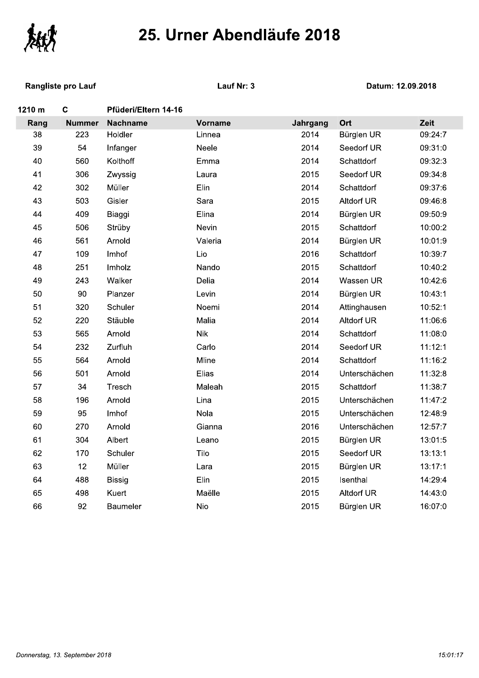

|        | 25. Urner Abendiaufe 2018 |                      |                |          |                   |         |  |  |
|--------|---------------------------|----------------------|----------------|----------|-------------------|---------|--|--|
|        | <b>Rangliste pro Lauf</b> |                      | Lauf Nr: 3     |          | Datum: 12.09.2018 |         |  |  |
| 1210 m | $\mathbf c$               | Pfüderi/Eltern 14-16 |                |          |                   |         |  |  |
| Rang   | <b>Nummer</b>             | <b>Nachname</b>      | <b>Vorname</b> | Jahrgang | Ort               | Zeit    |  |  |
| 38     | 223                       | Holdler              | Linnea         | 2014     | Bürglen UR        | 09:24:7 |  |  |
| 39     | 54                        | Infanger             | Neele          | 2014     | Seedorf UR        | 09:31:0 |  |  |
| 40     | 560                       | Kolthoff             | Emma           | 2014     | Schattdorf        | 09:32:3 |  |  |
| 41     | 306                       | Zwyssig              | Laura          | 2015     | Seedorf UR        | 09:34:8 |  |  |
| 42     | 302                       | Müller               | Elin           | 2014     | Schattdorf        | 09:37:6 |  |  |
| 43     | 503                       | Gisler               | Sara           | 2015     | <b>Altdorf UR</b> | 09:46:8 |  |  |
| 44     | 409                       | Biaggi               | Elina          | 2014     | Bürglen UR        | 09:50:9 |  |  |
| 45     | 506                       | Strüby               | Nevin          | 2015     | Schattdorf        | 10:00:2 |  |  |
| 46     | 561                       | Arnold               | Valeria        | 2014     | Bürglen UR        | 10:01:9 |  |  |
| 47     | 109                       | Imhof                | Lio            | 2016     | Schattdorf        | 10:39:7 |  |  |
| 48     | 251                       | Imholz               | Nando          | 2015     | Schattdorf        | 10:40:2 |  |  |
| 49     | 243                       | Walker               | Delia          | 2014     | Wassen UR         | 10:42:6 |  |  |
| 50     | 90                        | Planzer              | Levin          | 2014     | Bürglen UR        | 10:43:1 |  |  |
| 51     | 320                       | Schuler              | Noemi          | 2014     | Attinghausen      | 10:52:1 |  |  |
| 52     | 220                       | Stäuble              | Malia          | 2014     | <b>Altdorf UR</b> | 11:06:6 |  |  |
| 53     | 565                       | Arnold               | <b>Nik</b>     | 2014     | Schattdorf        | 11:08:0 |  |  |
| 54     | 232                       | Zurfluh              | Carlo          | 2014     | Seedorf UR        | 11:12:1 |  |  |
| 55     | 564                       | Arnold               | Mline          | 2014     | Schattdorf        | 11:16:2 |  |  |
| 56     | 501                       | Arnold               | Elias          | 2014     | Unterschächen     | 11:32:8 |  |  |
| 57     | 34                        | Tresch               | Maleah         | 2015     | Schattdorf        | 11:38:7 |  |  |
| 58     | 196                       | Arnold               | Lina           | 2015     | Unterschächen     | 11:47:2 |  |  |
| 59     | 95                        | Imhof                | Nola           | 2015     | Unterschächen     | 12:48:9 |  |  |
| 60     | 270                       | Arnold               | Gianna         | 2016     | Unterschächen     | 12:57:7 |  |  |
| 61     | 304                       | Albert               | Leano          | 2015     | Bürglen UR        | 13:01:5 |  |  |
| 62     | 170                       | Schuler              | Tilo           | 2015     | Seedorf UR        | 13:13:1 |  |  |
| 63     | 12                        | Müller               | Lara           | 2015     | Bürglen UR        | 13:17:1 |  |  |
| 64     | 488                       | <b>Bissig</b>        | Elin           | 2015     | Isenthal          | 14:29:4 |  |  |
| 65     | 498                       | Kuert                | Maëlle         | 2015     | <b>Altdorf UR</b> | 14:43:0 |  |  |
| 66     | 92                        | Baumeler             | Nio            | 2015     | Bürglen UR        | 16:07:0 |  |  |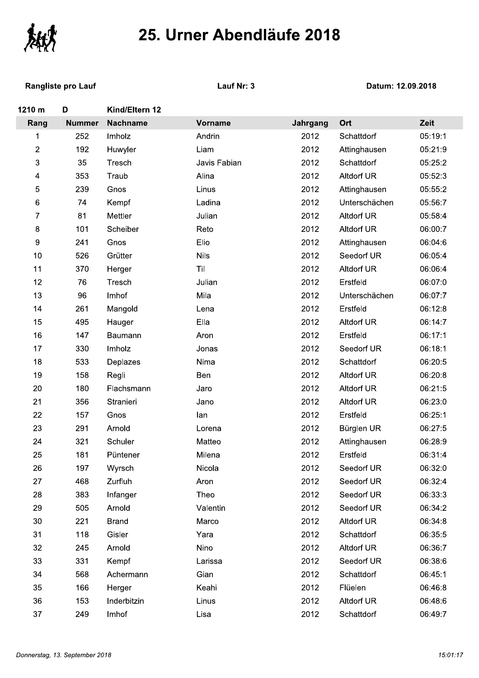

**Rangliste pro Lauf** 

Lauf Nr: 3

| 1210 m                  | D             | Kind/Eltern 12  |                |          |                   |         |
|-------------------------|---------------|-----------------|----------------|----------|-------------------|---------|
| Rang                    | <b>Nummer</b> | <b>Nachname</b> | <b>Vorname</b> | Jahrgang | Ort               | Zeit    |
| 1                       | 252           | Imholz          | Andrin         | 2012     | Schattdorf        | 05:19:1 |
| $\overline{2}$          | 192           | Huwyler         | Liam           | 2012     | Attinghausen      | 05:21:9 |
| 3                       | 35            | Tresch          | Javis Fabian   | 2012     | Schattdorf        | 05:25:2 |
| $\overline{\mathbf{4}}$ | 353           | Traub           | Alina          | 2012     | Altdorf UR        | 05:52:3 |
| 5                       | 239           | Gnos            | Linus          | 2012     | Attinghausen      | 05:55:2 |
| 6                       | 74            | Kempf           | Ladina         | 2012     | Unterschächen     | 05:56:7 |
| 7                       | 81            | Mettler         | Julian         | 2012     | Altdorf UR        | 05:58:4 |
| 8                       | 101           | Scheiber        | Reto           | 2012     | Altdorf UR        | 06:00:7 |
| 9                       | 241           | Gnos            | Elio           | 2012     | Attinghausen      | 06:04:6 |
| 10                      | 526           | Grütter         | <b>Nils</b>    | 2012     | Seedorf UR        | 06:05:4 |
| 11                      | 370           | Herger          | Til            | 2012     | Altdorf UR        | 06:06:4 |
| 12                      | 76            | Tresch          | Julian         | 2012     | Erstfeld          | 06:07:0 |
| 13                      | 96            | Imhof           | Mila           | 2012     | Unterschächen     | 06:07:7 |
| 14                      | 261           | Mangold         | Lena           | 2012     | Erstfeld          | 06:12:8 |
| 15                      | 495           | Hauger          | Ella           | 2012     | Altdorf UR        | 06:14:7 |
| 16                      | 147           | Baumann         | Aron           | 2012     | Erstfeld          | 06:17:1 |
| 17                      | 330           | Imholz          | Jonas          | 2012     | Seedorf UR        | 06:18:1 |
| 18                      | 533           | Deplazes        | Nima           | 2012     | Schattdorf        | 06:20:5 |
| 19                      | 158           | Regli           | Ben            | 2012     | <b>Altdorf UR</b> | 06:20:8 |
| 20                      | 180           | Flachsmann      | Jaro           | 2012     | <b>Altdorf UR</b> | 06:21:5 |
| 21                      | 356           | Stranieri       | Jano           | 2012     | Altdorf UR        | 06:23:0 |
| 22                      | 157           | Gnos            | lan            | 2012     | Erstfeld          | 06:25:1 |
| 23                      | 291           | Arnold          | Lorena         | 2012     | Bürglen UR        | 06:27:5 |
| 24                      | 321           | Schuler         | Matteo         | 2012     | Attinghausen      | 06:28:9 |
| 25                      | 181           | Püntener        | Milena         | 2012     | Erstfeld          | 06:31:4 |
| 26                      | 197           | Wyrsch          | Nicola         | 2012     | Seedorf UR        | 06:32:0 |
| 27                      | 468           | Zurfluh         | Aron           | 2012     | Seedorf UR        | 06:32:4 |
| 28                      | 383           | Infanger        | Theo           | 2012     | Seedorf UR        | 06:33:3 |
| 29                      | 505           | Arnold          | Valentin       | 2012     | Seedorf UR        | 06:34:2 |
| 30                      | 221           | <b>Brand</b>    | Marco          | 2012     | Altdorf UR        | 06:34:8 |
| 31                      | 118           | Gisler          | Yara           | 2012     | Schattdorf        | 06:35:5 |
| 32                      | 245           | Arnold          | Nino           | 2012     | <b>Altdorf UR</b> | 06:36:7 |
| 33                      | 331           | Kempf           | Larissa        | 2012     | Seedorf UR        | 06:38:6 |
| 34                      | 568           | Achermann       | Gian           | 2012     | Schattdorf        | 06:45:1 |
| 35                      | 166           | Herger          | Keahi          | 2012     | Flüelen           | 06:46:8 |
| 36                      | 153           | Inderbitzin     | Linus          | 2012     | Altdorf UR        | 06:48:6 |
| 37                      | 249           | Imhof           | Lisa.          | 2012     | Schattdorf        | 06.49.7 |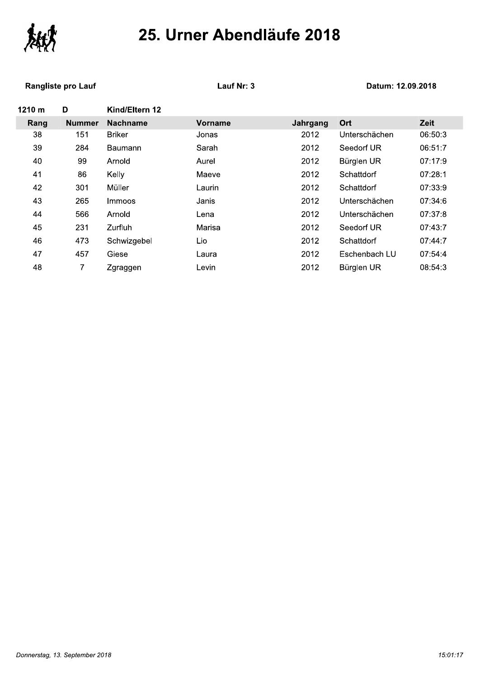

#### Rangliste pro Lauf Manuel Controller Manuel Cause Cause Cause Cause Cause Cause Cause Cause Cause Cause Cause

| イ丶てんし  |                           |                 |                |          |                   |         |
|--------|---------------------------|-----------------|----------------|----------|-------------------|---------|
|        | <b>Rangliste pro Lauf</b> |                 | Lauf Nr: 3     |          | Datum: 12.09.2018 |         |
| 1210 m | D                         | Kind/Eltern 12  |                |          |                   |         |
| Rang   | <b>Nummer</b>             | <b>Nachname</b> | <b>Vorname</b> | Jahrgang | Ort               | Zeit    |
| 38     | 151                       | <b>Briker</b>   | Jonas          | 2012     | Unterschächen     | 06:50:3 |
| 39     | 284                       | Baumann         | Sarah          | 2012     | Seedorf UR        | 06:51:7 |
| 40     | 99                        | Arnold          | Aurel          | 2012     | Bürglen UR        | 07:17:9 |
| 41     | 86                        | Kelly           | Maeve          | 2012     | Schattdorf        | 07:28:1 |
| 42     | 301                       | Müller          | Laurin         | 2012     | Schattdorf        | 07:33:9 |
| 43     | 265                       | Immoos          | Janis          | 2012     | Unterschächen     | 07:34:6 |
| 44     | 566                       | Arnold          | Lena           | 2012     | Unterschächen     | 07:37:8 |
| 45     | 231                       | Zurfluh         | Marisa         | 2012     | Seedorf UR        | 07:43:7 |
| 46     | 473                       | Schwizgebel     | Lio            | 2012     | Schattdorf        | 07:44:7 |
| 47     | 457                       | Giese           | Laura          | 2012     | Eschenbach LU     | 07:54:4 |
| 48     | 7                         | Zgraggen        | Levin          | 2012     | Bürglen UR        | 08:54:3 |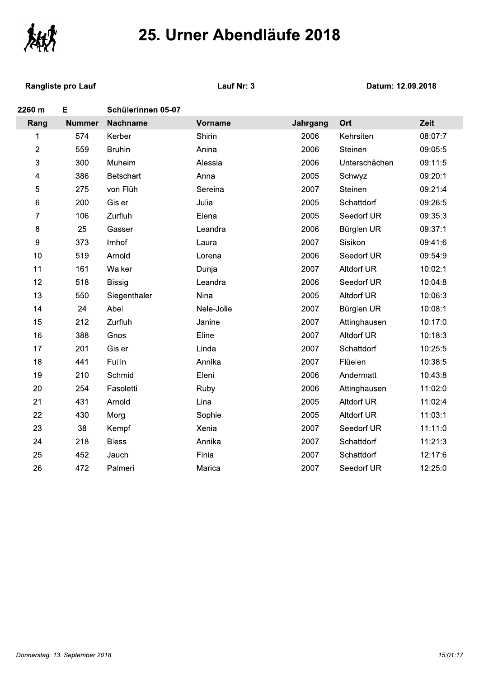

**Rangliste pro Lauf** 

Lauf Nr: 3

| 2260 m         | E             | Schülerinnen 05-07 |            |          |                   |         |
|----------------|---------------|--------------------|------------|----------|-------------------|---------|
| Rang           | <b>Nummer</b> | <b>Nachname</b>    | Vorname    | Jahrgang | Ort               | Zeit    |
| $\mathbf 1$    | 574           | Kerber             | Shirin     | 2006     | Kehrsiten         | 08:07:7 |
| $\overline{2}$ | 559           | <b>Bruhin</b>      | Anina      | 2006     | Steinen           | 09:05:5 |
| 3              | 300           | Muheim             | Alessia    | 2006     | Unterschächen     | 09:11:5 |
| 4              | 386           | Betschart          | Anna       | 2005     | Schwyz            | 09:20:1 |
| 5              | 275           | von Flüh           | Sereina    | 2007     | Steinen           | 09:21:4 |
| 6              | 200           | Gisler             | Julia      | 2005     | Schattdorf        | 09:26:5 |
| 7              | 106           | Zurfluh            | Elena      | 2005     | Seedorf UR        | 09:35:3 |
| 8              | 25            | Gasser             | Leandra    | 2006     | Bürglen UR        | 09:37:1 |
| 9              | 373           | Imhof              | Laura      | 2007     | Sisikon           | 09:41:6 |
| 10             | 519           | Arnold             | Lorena     | 2006     | Seedorf UR        | 09:54:9 |
| 11             | 161           | Walker             | Dunja      | 2007     | <b>Altdorf UR</b> | 10:02:1 |
| 12             | 518           | <b>Bissig</b>      | Leandra    | 2006     | Seedorf UR        | 10:04:8 |
| 13             | 550           | Siegenthaler       | Nina       | 2005     | <b>Altdorf UR</b> | 10:06:3 |
| 14             | 24            | Abel               | Nele-Jolie | 2007     | Bürglen UR        | 10:08:1 |
| 15             | 212           | Zurfluh            | Janine     | 2007     | Attinghausen      | 10:17:0 |
| 16             | 388           | Gnos               | Eline      | 2007     | <b>Altdorf UR</b> | 10:18:3 |
| 17             | 201           | Gisler             | Linda      | 2007     | Schattdorf        | 10:25:5 |
| 18             | 441           | Fullin             | Annika     | 2007     | Flüelen           | 10:38:5 |
| 19             | 210           | Schmid             | Eleni      | 2006     | Andermatt         | 10:43:8 |
| 20             | 254           | Fasoletti          | Ruby       | 2006     | Attinghausen      | 11:02:0 |
| 21             | 431           | Arnold             | Lina       | 2005     | <b>Altdorf UR</b> | 11:02:4 |
| 22             | 430           | Morg               | Sophie     | 2005     | <b>Altdorf UR</b> | 11:03:1 |
| 23             | 38            | Kempf              | Xenia      | 2007     | Seedorf UR        | 11:11:0 |
| 24             | 218           | <b>Bless</b>       | Annika     | 2007     | Schattdorf        | 11:21:3 |
| 25             | 452           | Jauch              | Finia      | 2007     | Schattdorf        | 12:17:6 |
| 26             | 472           | Palmeri            | Marica     | 2007     | Seedorf UR        | 12:25:0 |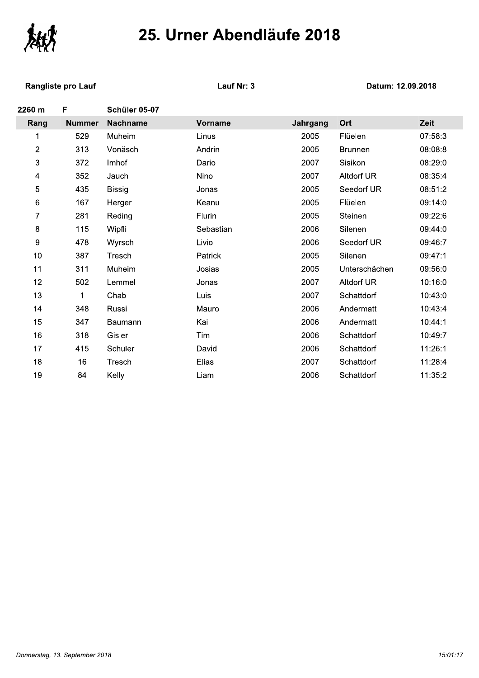

**Rangliste pro Lauf** 

Lauf Nr: 3

| 2260 m         | F             | Schüler 05-07   |           |          |                   |         |
|----------------|---------------|-----------------|-----------|----------|-------------------|---------|
| Rang           | <b>Nummer</b> | <b>Nachname</b> | Vorname   | Jahrgang | Ort               | Zeit    |
| 1              | 529           | Muheim          | Linus     | 2005     | Flüelen           | 07:58:3 |
| $\overline{c}$ | 313           | Vonäsch         | Andrin    | 2005     | <b>Brunnen</b>    | 08:08:8 |
| 3              | 372           | Imhof           | Dario     | 2007     | Sisikon           | 08:29:0 |
| 4              | 352           | Jauch           | Nino      | 2007     | <b>Altdorf UR</b> | 08:35:4 |
| 5              | 435           | <b>Bissig</b>   | Jonas     | 2005     | Seedorf UR        | 08:51:2 |
| 6              | 167           | Herger          | Keanu     | 2005     | Flüelen           | 09:14:0 |
| $\overline{7}$ | 281           | Reding          | Flurin    | 2005     | Steinen           | 09:22:6 |
| $\bf 8$        | 115           | Wipfli          | Sebastian | 2006     | Silenen           | 09:44:0 |
| 9              | 478           | Wyrsch          | Livio     | 2006     | Seedorf UR        | 09:46:7 |
| 10             | 387           | Tresch          | Patrick   | 2005     | Silenen           | 09:47:1 |
| 11             | 311           | Muheim          | Josias    | 2005     | Unterschächen     | 09:56:0 |
| 12             | 502           | Lemmel          | Jonas     | 2007     | Altdorf UR        | 10:16:0 |
| 13             | 1             | Chab            | Luis      | 2007     | Schattdorf        | 10:43:0 |
| 14             | 348           | Russi           | Mauro     | 2006     | Andermatt         | 10:43:4 |
| 15             | 347           | <b>Baumann</b>  | Kai       | 2006     | Andermatt         | 10:44:1 |
| 16             | 318           | Gisler          | Tim       | 2006     | Schattdorf        | 10:49:7 |
| 17             | 415           | Schuler         | David     | 2006     | Schattdorf        | 11:26:1 |
| 18             | 16            | Tresch          | Elias     | 2007     | Schattdorf        | 11:28:4 |
| 19             | 84            | Kelly           | Liam      | 2006     | Schattdorf        | 11:35:2 |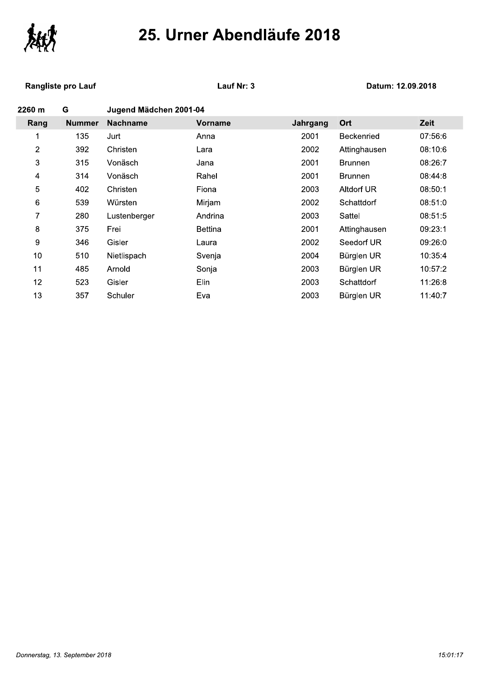

#### Rangliste pro Lauf Manuel Controller Manuel Cause Cause Cause Cause Cause Cause Cause Cause Cause Cause Cause

| 25. Urher Abendiaufe 2018 |                    |                        |                |          |                   |         |
|---------------------------|--------------------|------------------------|----------------|----------|-------------------|---------|
|                           | Rangliste pro Lauf |                        | Lauf Nr: 3     |          | Datum: 12.09.2018 |         |
| 2260 m                    | G                  | Jugend Mädchen 2001-04 |                |          |                   |         |
| Rang                      | <b>Nummer</b>      | <b>Nachname</b>        | <b>Vorname</b> | Jahrgang | Ort               | Zeit    |
| 1                         | 135                | Jurt                   | Anna           | 2001     | <b>Beckenried</b> | 07:56:6 |
| $\overline{c}$            | 392                | Christen               | Lara           | 2002     | Attinghausen      | 08:10:6 |
| 3                         | 315                | Vonäsch                | Jana           | 2001     | <b>Brunnen</b>    | 08:26:7 |
| 4                         | 314                | Vonäsch                | Rahel          | 2001     | <b>Brunnen</b>    | 08:44:8 |
| 5                         | 402                | Christen               | Fiona          | 2003     | Altdorf UR        | 08:50:1 |
| 6                         | 539                | Würsten                | Mirjam         | 2002     | Schattdorf        | 08:51:0 |
| 7                         | 280                | Lustenberger           | Andrina        | 2003     | Sattel            | 08:51:5 |
| 8                         | 375                | Frei                   | <b>Bettina</b> | 2001     | Attinghausen      | 09:23:1 |
| 9                         | 346                | Gisler                 | Laura          | 2002     | Seedorf UR        | 09:26:0 |
| 10                        | 510                | Nietlispach            | Svenja         | 2004     | Bürglen UR        | 10:35:4 |
| 11                        | 485                | Arnold                 | Sonja          | 2003     | Bürglen UR        | 10:57:2 |
| 12                        | 523                | Gisler                 | Elin           | 2003     | Schattdorf        | 11:26:8 |
| 13                        | 357                | Schuler                | Eva            | 2003     | Bürglen UR        | 11:40:7 |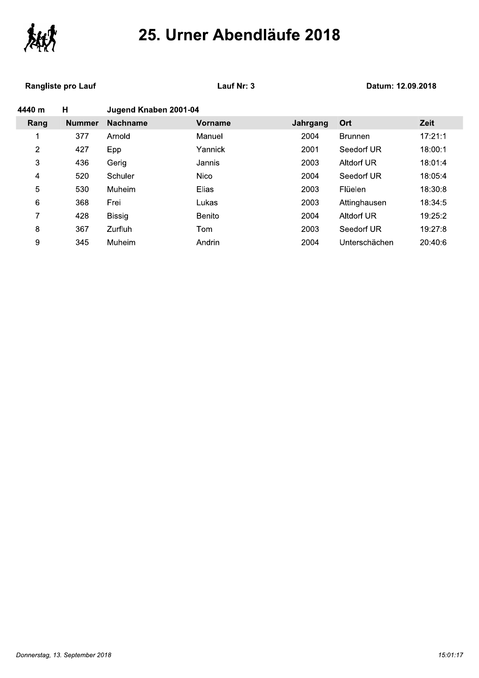

#### Rangliste pro Lauf Manuel Controller Manuel Cause Cause Cause Cause Cause Cause Cause Cause Cause Cause Cause

|               |                           | Lauf Nr: 3    |                       |                |                   |  |  |
|---------------|---------------------------|---------------|-----------------------|----------------|-------------------|--|--|
| н             |                           |               |                       |                |                   |  |  |
| <b>Nummer</b> | <b>Nachname</b>           | Vorname       | Jahrgang              | Ort            | Zeit              |  |  |
| 377           | Arnold                    | Manuel        | 2004                  | <b>Brunnen</b> | 17:21:1           |  |  |
| 427           | Epp                       | Yannick       | 2001                  | Seedorf UR     | 18:00:1           |  |  |
| 436           | Gerig                     | Jannis        | 2003                  | Altdorf UR     | 18:01:4           |  |  |
| 520           | Schuler                   | <b>Nico</b>   | 2004                  | Seedorf UR     | 18:05:4           |  |  |
| 530           | Muheim                    | Elias         | 2003                  | Flüelen        | 18:30:8           |  |  |
| 368           | Frei                      | Lukas         | 2003                  | Attinghausen   | 18:34:5           |  |  |
| 428           | <b>Bissig</b>             | <b>Benito</b> | 2004                  | Altdorf UR     | 19:25:2           |  |  |
| 367           | <b>Zurfluh</b>            | Tom           | 2003                  | Seedorf UR     | 19:27:8           |  |  |
| 345           | Muheim                    | Andrin        | 2004                  | Unterschächen  | 20:40:6           |  |  |
|               | <b>Rangliste pro Lauf</b> |               | Jugend Knaben 2001-04 |                | Datum: 12.09.2018 |  |  |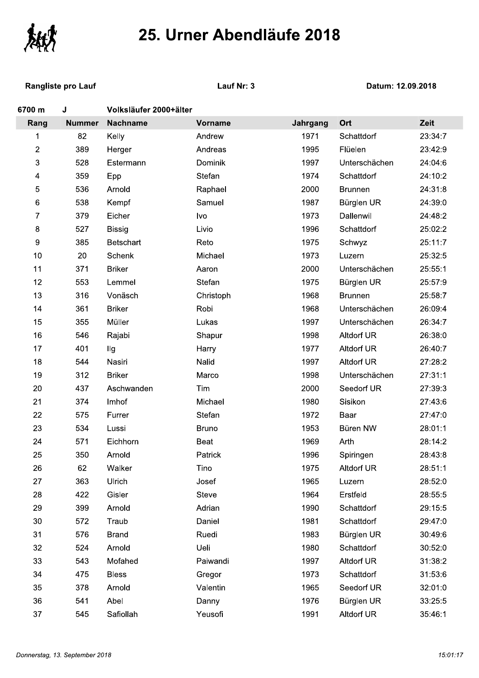

**Rangliste pro Lauf** 

Lauf Nr: 3

| 6700 m | J             | Volksläufer 2000+älter |                |          |                   |         |
|--------|---------------|------------------------|----------------|----------|-------------------|---------|
| Rang   | <b>Nummer</b> | <b>Nachname</b>        | <b>Vorname</b> | Jahrgang | Ort               | Zeit    |
| 1      | 82            | Kelly                  | Andrew         | 1971     | Schattdorf        | 23:34:7 |
| 2      | 389           | Herger                 | Andreas        | 1995     | Flüelen           | 23:42:9 |
| 3      | 528           | Estermann              | Dominik        | 1997     | Unterschächen     | 24:04:6 |
| 4      | 359           | Epp                    | Stefan         | 1974     | Schattdorf        | 24:10:2 |
| 5      | 536           | Arnold                 | Raphael        | 2000     | <b>Brunnen</b>    | 24:31:8 |
| 6      | 538           | Kempf                  | Samuel         | 1987     | Bürglen UR        | 24:39:0 |
| 7      | 379           | Eicher                 | Ivo            | 1973     | Dallenwil         | 24:48:2 |
| 8      | 527           | <b>Bissig</b>          | Livio          | 1996     | Schattdorf        | 25:02:2 |
| 9      | 385           | <b>Betschart</b>       | Reto           | 1975     | Schwyz            | 25:11:7 |
| 10     | 20            | Schenk                 | Michael        | 1973     | Luzern            | 25:32:5 |
| 11     | 371           | <b>Briker</b>          | Aaron          | 2000     | Unterschächen     | 25:55:1 |
| 12     | 553           | Lemmel                 | Stefan         | 1975     | Bürglen UR        | 25:57:9 |
| 13     | 316           | Vonäsch                | Christoph      | 1968     | <b>Brunnen</b>    | 25:58:7 |
| 14     | 361           | <b>Briker</b>          | Robi           | 1968     | Unterschächen     | 26:09:4 |
| 15     | 355           | Müller                 | Lukas          | 1997     | Unterschächen     | 26:34:7 |
| 16     | 546           | Rajabi                 | Shapur         | 1998     | <b>Altdorf UR</b> | 26:38:0 |
| 17     | 401           | llg                    | Harry          | 1977     | <b>Altdorf UR</b> | 26:40:7 |
| 18     | 544           | Nasiri                 | Nalid          | 1997     | <b>Altdorf UR</b> | 27:28:2 |
| 19     | 312           | <b>Briker</b>          | Marco          | 1998     | Unterschächen     | 27:31:1 |
| 20     | 437           | Aschwanden             | Tim            | 2000     | Seedorf UR        | 27:39:3 |
| 21     | 374           | Imhof                  | Michael        | 1980     | Sisikon           | 27:43:6 |
| 22     | 575           | Furrer                 | Stefan         | 1972     | Baar              | 27:47:0 |
| 23     | 534           | Lussi                  | <b>Bruno</b>   | 1953     | Büren NW          | 28:01:1 |
| 24     | 571           | Eichhorn               | Beat           | 1969     | Arth              | 28:14:2 |
| 25     | 350           | Arnold                 | Patrick        | 1996     | Spiringen         | 28:43:8 |
| 26     | 62            | Walker                 | Tino           | 1975     | Altdorf UR        | 28:51:1 |
| 27     | 363           | Ulrich                 | Josef          | 1965     | Luzern            | 28:52:0 |
| 28     | 422           | Gisler                 | Steve          | 1964     | Erstfeld          | 28:55:5 |
| 29     | 399           | Arnold                 | Adrian         | 1990     | Schattdorf        | 29:15:5 |
| 30     | 572           | Traub                  | Daniel         | 1981     | Schattdorf        | 29:47:0 |
| 31     | 576           | <b>Brand</b>           | Ruedi          | 1983     | Bürglen UR        | 30:49:6 |
| 32     | 524           | Arnold                 | Ueli           | 1980     | Schattdorf        | 30:52:0 |
| 33     | 543           | Mofahed                | Paiwandi       | 1997     | <b>Altdorf UR</b> | 31:38:2 |
| 34     | 475           | <b>Bless</b>           | Gregor         | 1973     | Schattdorf        | 31:53:6 |
| 35     | 378           | Arnold                 | Valentin       | 1965     | Seedorf UR        | 32:01:0 |
| 36     | 541           | Abel                   | Danny          | 1976     | Bürglen UR        | 33:25:5 |
| 37     | 545           | Safiollah              | Yeusofi        | 1991     | Altdorf UR        | 35:46:1 |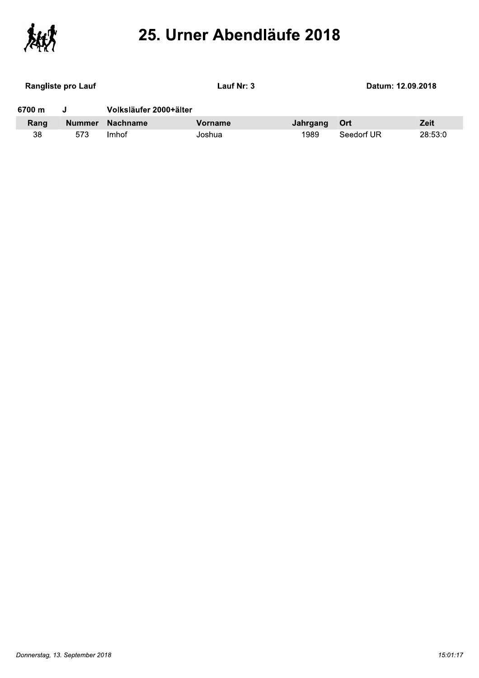

| <b>Rangliste pro Lauf</b> |        | Lauf Nr: 3             |         |          | Datum: 12.09.2018 |             |
|---------------------------|--------|------------------------|---------|----------|-------------------|-------------|
| 6700 m                    |        | Volksläufer 2000+älter |         |          |                   |             |
| Rang                      | Nummer | <b>Nachname</b>        | Vorname | Jahrgang | – Ort             | <b>Zeit</b> |
| 38                        | 573    | Imhof                  | Joshua  | 1989     | Seedorf UR        | 28:53:0     |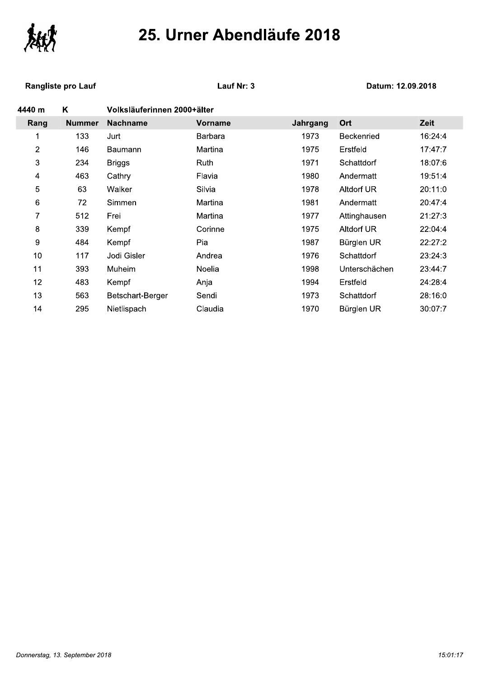

**Rangliste pro Lauf** 

Lauf Nr: 3

| Κ             |                  |         |                             |                   |         |
|---------------|------------------|---------|-----------------------------|-------------------|---------|
| <b>Nummer</b> | <b>Nachname</b>  | Vorname | Jahrgang                    | Ort               | Zeit    |
| 133           | Jurt             | Barbara | 1973                        | <b>Beckenried</b> | 16:24:4 |
| 146           | Baumann          | Martina | 1975                        | Erstfeld          | 17:47:7 |
| 234           | <b>Briggs</b>    | Ruth    | 1971                        | Schattdorf        | 18:07:6 |
| 463           | Cathry           | Flavia  | 1980                        | Andermatt         | 19:51:4 |
| 63            | Walker           | Silvia  | 1978                        | Altdorf UR        | 20:11:0 |
| 72            | Simmen           | Martina | 1981                        | Andermatt         | 20:47:4 |
| 512           | Frei             | Martina | 1977                        | Attinghausen      | 21:27:3 |
| 339           | Kempf            | Corinne | 1975                        | Altdorf UR        | 22:04:4 |
| 484           | Kempf            | Pia     | 1987                        | Bürglen UR        | 22:27:2 |
| 117           | Jodi Gisler      | Andrea  | 1976                        | Schattdorf        | 23:24:3 |
| 393           | Muheim           | Noelia  | 1998                        | Unterschächen     | 23:44:7 |
| 483           | Kempf            | Anja    | 1994                        | Erstfeld          | 24:28:4 |
| 563           | Betschart-Berger | Sendi   | 1973                        | Schattdorf        | 28:16:0 |
| 295           | Nietlispach      | Claudia | 1970                        | Bürglen UR        | 30:07:7 |
|               |                  |         | Volksläuferinnen 2000+älter |                   |         |